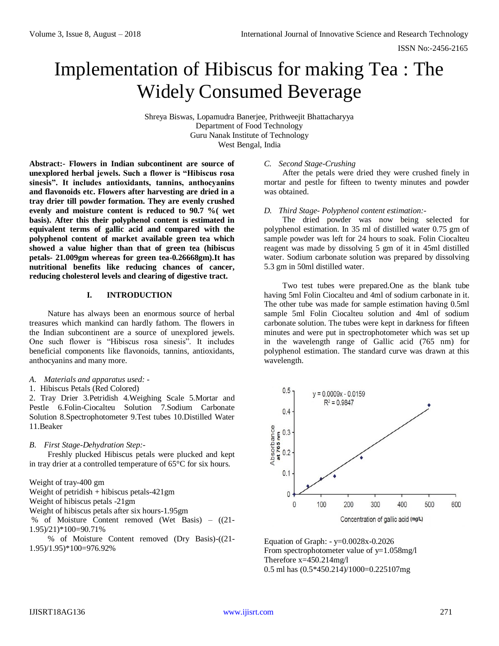# Implementation of Hibiscus for making Tea : The Widely Consumed Beverage

Shreya Biswas, Lopamudra Banerjee, Prithweejit Bhattacharyya Department of Food Technology Guru Nanak Institute of Technology West Bengal, India

**Abstract:- Flowers in Indian subcontinent are source of unexplored herbal jewels. Such a flower is "Hibiscus rosa sinesis". It includes antioxidants, tannins, anthocyanins and flavonoids etc. Flowers after harvesting are dried in a tray drier till powder formation. They are evenly crushed evenly and moisture content is reduced to 90.7 %( wet basis). After this their polyphenol content is estimated in equivalent terms of gallic acid and compared with the polyphenol content of market available green tea which showed a value higher than that of green tea (hibiscus petals- 21.009gm whereas for green tea-0.26668gm).It has nutritional benefits like reducing chances of cancer, reducing cholesterol levels and clearing of digestive tract.** 

## **I. INTRODUCTION**

Nature has always been an enormous source of herbal treasures which mankind can hardly fathom. The flowers in the Indian subcontinent are a source of unexplored jewels. One such flower is "Hibiscus rosa sinesis". It includes beneficial components like flavonoids, tannins, antioxidants, anthocyanins and many more.

- *A. Materials and apparatus used: -*
- 1. Hibiscus Petals (Red Colored)

2. Tray Drier 3.Petridish 4.Weighing Scale 5.Mortar and Pestle 6.Folin-Ciocalteu Solution 7.Sodium Carbonate Solution 8.Spectrophotometer 9.Test tubes 10.Distilled Water 11.Beaker

## *B. First Stage-Dehydration Step:-*

Freshly plucked Hibiscus petals were plucked and kept in tray drier at a controlled temperature of 65°C for six hours.

Weight of tray-400 gm Weight of petridish + hibiscus petals-421gm Weight of hibiscus petals -21gm Weight of hibiscus petals after six hours-1.95gm % of Moisture Content removed (Wet Basis) – ((21- 1.95)/21)\*100=90.71% % of Moisture Content removed (Dry Basis)-((21- 1.95)/1.95)\*100=976.92%

# *C. Second Stage-Crushing*

After the petals were dried they were crushed finely in mortar and pestle for fifteen to twenty minutes and powder was obtained.

### *D. Third Stage- Polyphenol content estimation:-*

The dried powder was now being selected for polyphenol estimation. In 35 ml of distilled water 0.75 gm of sample powder was left for 24 hours to soak. Folin Ciocalteu reagent was made by dissolving 5 gm of it in 45ml distilled water. Sodium carbonate solution was prepared by dissolving 5.3 gm in 50ml distilled water.

Two test tubes were prepared.One as the blank tube having 5ml Folin Ciocalteu and 4ml of sodium carbonate in it. The other tube was made for sample estimation having 0.5ml sample 5ml Folin Ciocalteu solution and 4ml of sodium carbonate solution. The tubes were kept in darkness for fifteen minutes and were put in spectrophotometer which was set up in the wavelength range of Gallic acid (765 nm) for polyphenol estimation. The standard curve was drawn at this wavelength.



Equation of Graph: - y=0.0028x-0.2026 From spectrophotometer value of  $y=1.058$ mg/l Therefore  $x=450.214$ mg/l 0.5 ml has (0.5\*450.214)/1000=0.225107mg